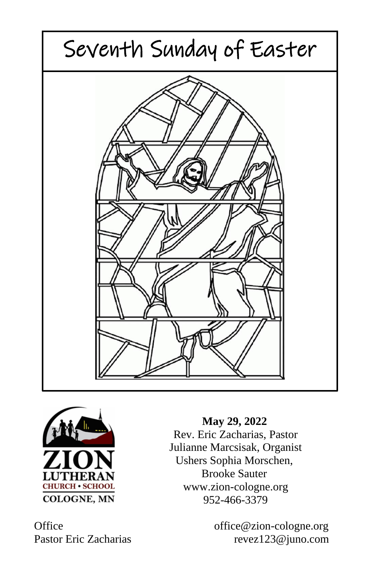



 **May 29, 2022** Rev. Eric Zacharias, Pastor Julianne Marcsisak, Organist Ushers Sophia Morschen, Brooke Sauter www.zion-cologne.org 952-466-3379

Office office office office office office of  $\alpha$ Pastor Eric Zacharias revez123@juno.com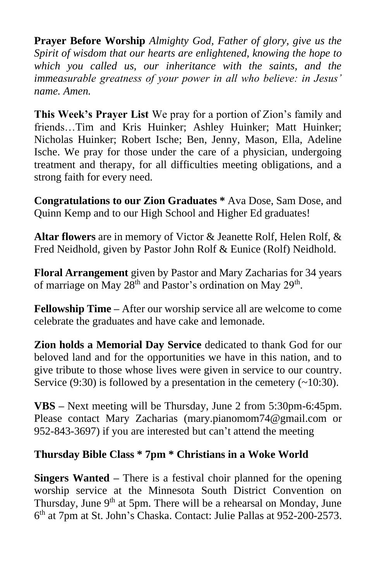**Prayer Before Worship** *Almighty God, Father of glory, give us the Spirit of wisdom that our hearts are enlightened, knowing the hope to which you called us, our inheritance with the saints, and the immeasurable greatness of your power in all who believe: in Jesus' name. Amen.*

**This Week's Prayer List** We pray for a portion of Zion's family and friends…Tim and Kris Huinker; Ashley Huinker; Matt Huinker; Nicholas Huinker; Robert Ische; Ben, Jenny, Mason, Ella, Adeline Ische. We pray for those under the care of a physician, undergoing treatment and therapy, for all difficulties meeting obligations, and a strong faith for every need.

**Congratulations to our Zion Graduates \*** Ava Dose, Sam Dose, and Quinn Kemp and to our High School and Higher Ed graduates!

**Altar flowers** are in memory of Victor & Jeanette Rolf, Helen Rolf, & Fred Neidhold, given by Pastor John Rolf & Eunice (Rolf) Neidhold.

**Floral Arrangement** given by Pastor and Mary Zacharias for 34 years of marriage on May  $28<sup>th</sup>$  and Pastor's ordination on May  $29<sup>th</sup>$ .

**Fellowship Time –** After our worship service all are welcome to come celebrate the graduates and have cake and lemonade.

**Zion holds a Memorial Day Service** dedicated to thank God for our beloved land and for the opportunities we have in this nation, and to give tribute to those whose lives were given in service to our country. Service  $(9:30)$  is followed by a presentation in the cemetery  $(\sim 10:30)$ .

**VBS –** Next meeting will be Thursday, June 2 from 5:30pm-6:45pm. Please contact Mary Zacharias (mary.pianomom74@gmail.com or 952-843-3697) if you are interested but can't attend the meeting

# **Thursday Bible Class \* 7pm \* Christians in a Woke World**

**Singers Wanted –** There is a festival choir planned for the opening worship service at the Minnesota South District Convention on Thursday, June  $9<sup>th</sup>$  at 5pm. There will be a rehearsal on Monday, June 6 th at 7pm at St. John's Chaska. Contact: Julie Pallas at 952-200-2573.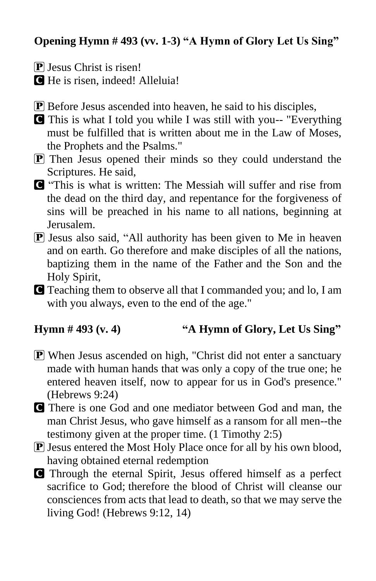# **Opening Hymn # 493 (vv. 1-3) "A Hymn of Glory Let Us Sing"**

 $\mathbf{\mathbf{P}}$  Jesus Christ is risen!

C He is risen, indeed! Alleluia!

- P Before Jesus ascended into heaven, he said to his disciples,
- C This is what I told you while I was still with you-- "Everything must be fulfilled that is written about me in the Law of Moses, the Prophets and the Psalms."
- P Then Jesus opened their minds so they could understand the Scriptures. He said,
- C "This is what is written: The Messiah will suffer and rise from the dead on the third day, and repentance for the forgiveness of sins will be preached in his name to all nations, beginning at Jerusalem.
- $\boxed{\mathbf{P}}$  Jesus also said, "All authority has been given to Me in heaven and on earth. Go therefore and make disciples of all the nations, baptizing them in the name of the Father and the Son and the Holy Spirit,
- C Teaching them to observe all that I commanded you; and lo, I am with you always, even to the end of the age."

# **Hymn # 493 (v. 4) "A Hymn of Glory, Let Us Sing"**

- **P** When Jesus ascended on high, "Christ did not enter a sanctuary" made with human hands that was only a copy of the true one; he entered heaven itself, now to appear for us in God's presence." (Hebrews 9:24)
- C There is one God and one mediator between God and man, the man Christ Jesus, who gave himself as a ransom for all men--the testimony given at the proper time. (1 Timothy 2:5)
- **P** Jesus entered the Most Holy Place once for all by his own blood, having obtained eternal redemption
- C Through the eternal Spirit, Jesus offered himself as a perfect sacrifice to God; therefore the blood of Christ will cleanse our consciences from acts that lead to death, so that we may serve the living God! (Hebrews 9:12, 14)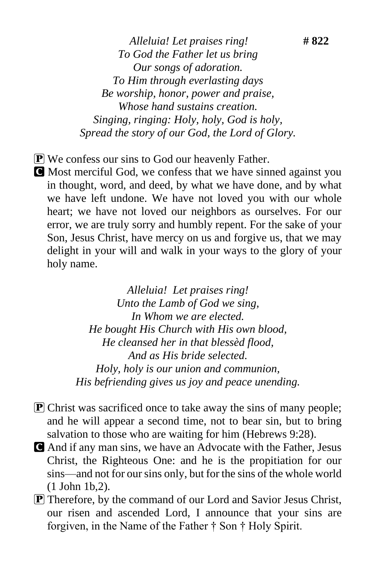*Alleluia! Let praises ring!* **# 822** *To God the Father let us bring Our songs of adoration. To Him through everlasting days Be worship, honor, power and praise, Whose hand sustains creation. Singing, ringing: Holy, holy, God is holy, Spread the story of our God, the Lord of Glory.*

- **P** We confess our sins to God our heavenly Father.
- C Most merciful God, we confess that we have sinned against you in thought, word, and deed, by what we have done, and by what we have left undone. We have not loved you with our whole heart; we have not loved our neighbors as ourselves. For our error, we are truly sorry and humbly repent. For the sake of your Son, Jesus Christ, have mercy on us and forgive us, that we may delight in your will and walk in your ways to the glory of your holy name.

*Alleluia! Let praises ring! Unto the Lamb of God we sing, In Whom we are elected. He bought His Church with His own blood, He cleansed her in that blessèd flood, And as His bride selected. Holy, holy is our union and communion, His befriending gives us joy and peace unending.*

- **P** Christ was sacrificed once to take away the sins of many people; and he will appear a second time, not to bear sin, but to bring salvation to those who are waiting for him (Hebrews 9:28).
- C And if any man sins, we have an Advocate with the Father, Jesus Christ, the Righteous One: and he is the propitiation for our sins—and not for our sins only, but for the sins of the whole world (1 John 1b,2).
- P Therefore, by the command of our Lord and Savior Jesus Christ, our risen and ascended Lord, I announce that your sins are forgiven, in the Name of the Father † Son † Holy Spirit.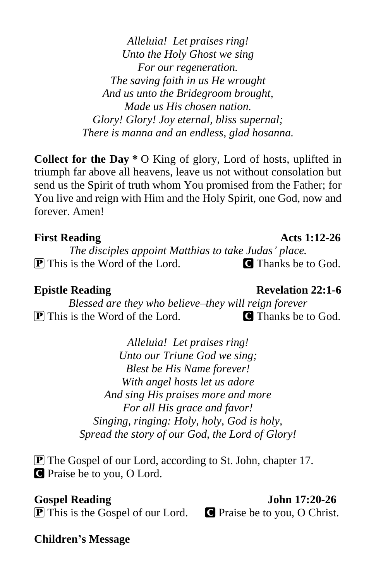*Alleluia! Let praises ring! Unto the Holy Ghost we sing For our regeneration. The saving faith in us He wrought And us unto the Bridegroom brought, Made us His chosen nation. Glory! Glory! Joy eternal, bliss supernal; There is manna and an endless, glad hosanna.*

**Collect for the Day \*** O King of glory, Lord of hosts, uplifted in triumph far above all heavens, leave us not without consolation but send us the Spirit of truth whom You promised from the Father; for You live and reign with Him and the Holy Spirit, one God, now and forever. Amen!

### **First Reading Acts 1:12-26**

*The disciples appoint Matthias to take Judas' place.*  $\boxed{\mathbf{P}}$  This is the Word of the Lord.  $\boxed{\mathbf{C}}$  Thanks be to God.

### **Epistle Reading Revelation 22:1-6**

*Blessed are they who believe–they will reign forever* **P** This is the Word of the Lord. **C** Thanks be to God.

> *Alleluia! Let praises ring! Unto our Triune God we sing; Blest be His Name forever! With angel hosts let us adore And sing His praises more and more For all His grace and favor! Singing, ringing: Holy, holy, God is holy, Spread the story of our God, the Lord of Glory!*

P The Gospel of our Lord, according to St. John, chapter 17. C Praise be to you, O Lord.

 $\boxed{\mathbf{P}}$  This is the Gospel of our Lord.  $\boxed{\mathbf{P}}$  Praise be to you, O Christ.

Gospel Reading John 17:20-26

**Children's Message**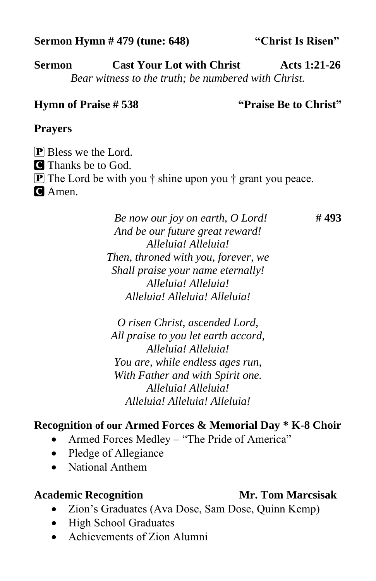### **Sermon Hymn # 479 (tune: 648) "Christ Is Risen"**

**Sermon Cast Your Lot with Christ Acts 1:21-26** *Bear witness to the truth; be numbered with Christ.*

# **Hymn of Praise # 538 "Praise Be to Christ"**

# **Prayers**

**P** Bless we the Lord. C Thanks be to God. **P** The Lord be with you  $\dagger$  shine upon you  $\dagger$  grant you peace. **C** Amen.

> *Be now our joy on earth, O Lord!* **# 493** *And be our future great reward! Alleluia! Alleluia! Then, throned with you, forever, we Shall praise your name eternally! Alleluia! Alleluia! Alleluia! Alleluia! Alleluia!*

*O risen Christ, ascended Lord, All praise to you let earth accord, Alleluia! Alleluia! You are, while endless ages run, With Father and with Spirit one. Alleluia! Alleluia! Alleluia! Alleluia! Alleluia!*

# **Recognition of our Armed Forces & Memorial Day \* K-8 Choir**

- Armed Forces Medley "The Pride of America"
- Pledge of Allegiance
- National Anthem

# **Academic Recognition Mr. Tom Marcsisak**

- Zion's Graduates (Ava Dose, Sam Dose, Quinn Kemp)
- High School Graduates
- Achievements of Zion Alumni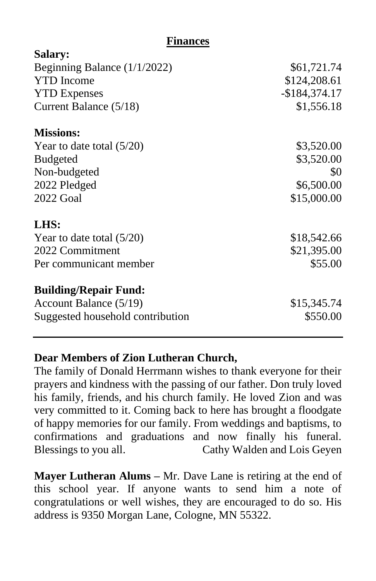### **Finances**

 $\sim$ **s** 

| Salary:                          |                |
|----------------------------------|----------------|
| Beginning Balance $(1/1/2022)$   | \$61,721.74    |
| <b>YTD</b> Income                | \$124,208.61   |
| <b>YTD Expenses</b>              | $-$184,374.17$ |
| Current Balance (5/18)           | \$1,556.18     |
| <b>Missions:</b>                 |                |
| Year to date total $(5/20)$      | \$3,520.00     |
| <b>Budgeted</b>                  | \$3,520.00     |
| Non-budgeted                     | \$0            |
| 2022 Pledged                     | \$6,500.00     |
| <b>2022 Goal</b>                 | \$15,000.00    |
| LHS:                             |                |
| Year to date total $(5/20)$      | \$18,542.66    |
| 2022 Commitment                  | \$21,395.00    |
| Per communicant member           | \$55.00        |
| <b>Building/Repair Fund:</b>     |                |
| Account Balance (5/19)           | \$15,345.74    |
| Suggested household contribution | \$550.00       |

# **Dear Members of Zion Lutheran Church,**

The family of Donald Herrmann wishes to thank everyone for their prayers and kindness with the passing of our father. Don truly loved his family, friends, and his church family. He loved Zion and was very committed to it. Coming back to here has brought a floodgate of happy memories for our family. From weddings and baptisms, to confirmations and graduations and now finally his funeral. Blessings to you all. Cathy Walden and Lois Geyen

**Mayer Lutheran Alums –** Mr. Dave Lane is retiring at the end of this school year. If anyone wants to send him a note of congratulations or well wishes, they are encouraged to do so. His address is 9350 Morgan Lane, Cologne, MN 55322.